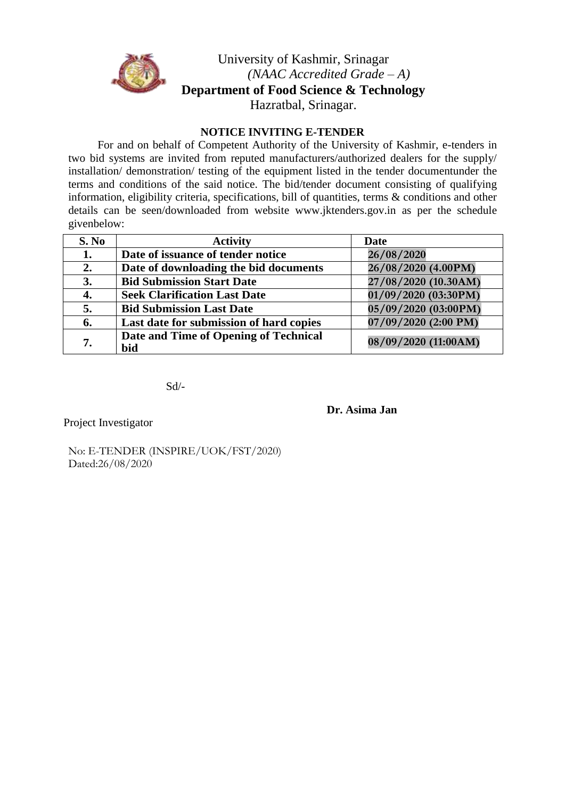

## University of Kashmir, Srinagar *(NAAC Accredited Grade – A)* **Department of Food Science & Technology** Hazratbal, Srinagar.

### **NOTICE INVITING E-TENDER**

For and on behalf of Competent Authority of the University of Kashmir, e-tenders in two bid systems are invited from reputed manufacturers/authorized dealers for the supply/ installation/ demonstration/ testing of the equipment listed in the tender documentunder the terms and conditions of the said notice. The bid/tender document consisting of qualifying information, eligibility criteria, specifications, bill of quantities, terms & conditions and other details can be seen/downloaded from websi[te www.jktenders.gov.in a](http://www.jktenders.gov.in/)s per the schedule givenbelow:

| S. No | <b>Activity</b>                              | Date                 |
|-------|----------------------------------------------|----------------------|
| 1.    | Date of issuance of tender notice            | 26/08/2020           |
| 2.    | Date of downloading the bid documents        | 26/08/2020 (4.00PM)  |
| 3.    | <b>Bid Submission Start Date</b>             | 27/08/2020 (10.30AM) |
| 4.    | <b>Seek Clarification Last Date</b>          | 01/09/2020 (03:30PM) |
| 5.    | <b>Bid Submission Last Date</b>              | 05/09/2020 (03:00PM) |
| 6.    | Last date for submission of hard copies      | 07/09/2020 (2:00 PM) |
| 7.    | Date and Time of Opening of Technical<br>bid | 08/09/2020 (11:00AM) |

Sd/-

**Dr. Asima Jan**

Project Investigator

No: E-TENDER (INSPIRE/UOK/FST/2020) Dated:26/08/2020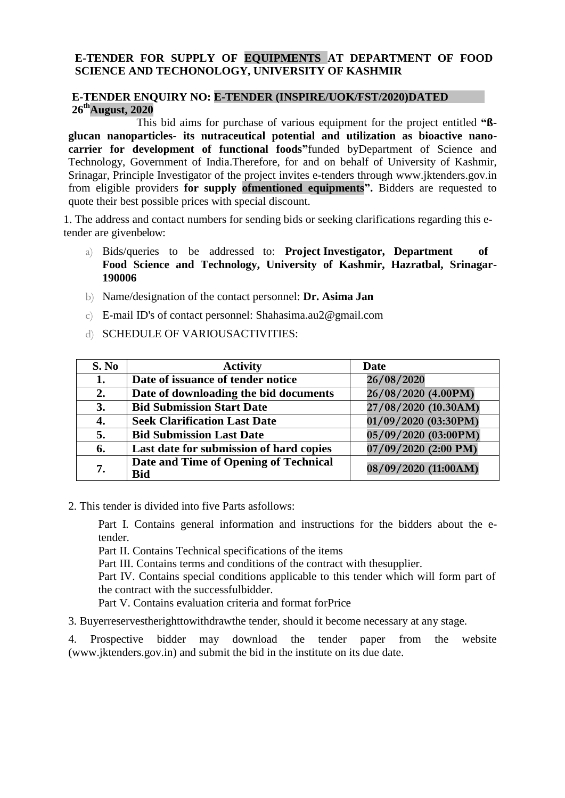### **E-TENDER FOR SUPPLY OF EQUIPMENTS AT DEPARTMENT OF FOOD SCIENCE AND TECHONOLOGY, UNIVERSITY OF KASHMIR**

#### **E-TENDER ENQUIRY NO: E-TENDER (INSPIRE/UOK/FST/2020)DATED 26thAugust, 2020**

This bid aims for purchase of various equipment for the project entitled **"ßglucan nanoparticles- its nutraceutical potential and utilization as bioactive nanocarrier for development of functional foods"**funded byDepartment of Science and Technology, Government of India.Therefore, for and on behalf of University of Kashmir, Srinagar, Principle Investigator of the project invites e-tenders through [www.jktenders.gov.in](http://www.jktenders.gov.in/) from eligible providers **for supply ofmentioned equipments".** Bidders are requested to quote their best possible prices with special discount.

1. The address and contact numbers for sending bids or seeking clarifications regarding this etender are givenbelow:

- a) Bids/queries to be addressed to: **Project Investigator, Department of Food Science and Technology, University of Kashmir, Hazratbal, Srinagar-190006**
- b) Name/designation of the contact personnel: **Dr. Asima Jan**
- c) E-mail ID's of contact personnel: Shahasima.au2@gmail.com
- d) SCHEDULE OF VARIOUSACTIVITIES:

| S. No | <b>Activity</b>                                     | Date                   |
|-------|-----------------------------------------------------|------------------------|
| 1.    | Date of issuance of tender notice                   | 26/08/2020             |
| 2.    | Date of downloading the bid documents               | 26/08/2020 (4.00PM)    |
| 3.    | <b>Bid Submission Start Date</b>                    | 27/08/2020 (10.30AM)   |
| 4.    | <b>Seek Clarification Last Date</b>                 | 01/09/2020 (03:30PM)   |
| 5.    | <b>Bid Submission Last Date</b>                     | 05/09/2020 (03:00PM)   |
| 6.    | Last date for submission of hard copies             | $07/09/2020$ (2:00 PM) |
| 7.    | Date and Time of Opening of Technical<br><b>Bid</b> | 08/09/2020 (11:00AM)   |

2. This tender is divided into five Parts asfollows:

Part I. Contains general information and instructions for the bidders about the etender.

Part II. Contains Technical specifications of the items

Part III. Contains terms and conditions of the contract with thesupplier.

Part IV. Contains special conditions applicable to this tender which will form part of the contract with the successfulbidder.

Part V. Contains evaluation criteria and format forPrice

3. Buyerreservestherighttowithdrawthe tender, should it become necessary at any stage.

4. Prospective bidder may download the tender paper from the website [\(www.jktenders.gov.in\)](http://www.jktenders.gov.in/) and submit the bid in the institute on its due date.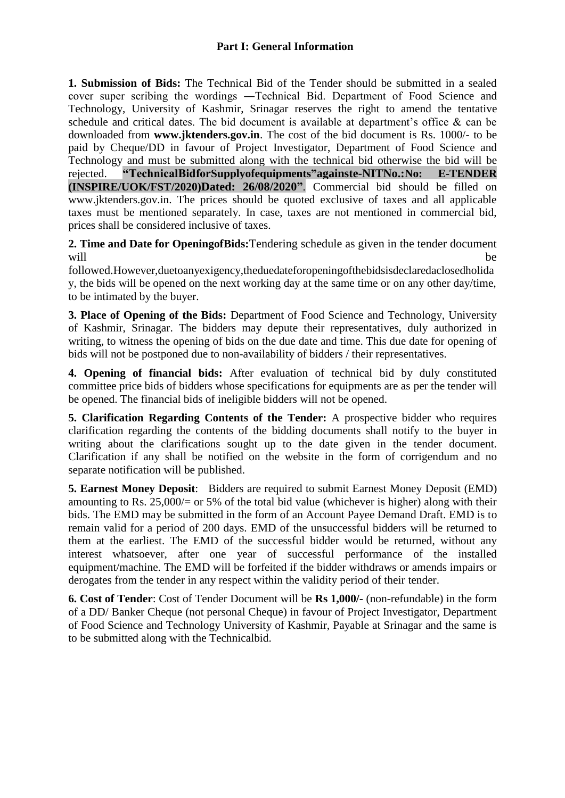### **Part I: General Information**

**1. Submission of Bids:** The Technical Bid of the Tender should be submitted in a sealed cover super scribing the wordings ―Technical Bid. Department of Food Science and Technology, University of Kashmir, Srinagar reserves the right to amend the tentative schedule and critical dates. The bid document is available at department's office & can be downloaded from **[www.jktenders.gov.in](http://www.jktenders.gov.in/)**. The cost of the bid document is Rs. 1000/- to be paid by Cheque/DD in favour of Project Investigator, Department of Food Science and Technology and must be submitted along with the technical bid otherwise the bid will be rejected. **"TechnicalBidforSupplyofequipments"againste-NITNo.:No: E-TENDER (INSPIRE/UOK/FST/2020)Dated: 26/08/2020"**. Commercial bid should be filled on [www.jktenders.gov.in. T](http://www.jktenders.gov.in/)he prices should be quoted exclusive of taxes and all applicable taxes must be mentioned separately. In case, taxes are not mentioned in commercial bid, prices shall be considered inclusive of taxes.

**2. Time and Date for OpeningofBids:**Tendering schedule as given in the tender document will be well as a set of  $\mathbf{b}$  and  $\mathbf{b}$  and  $\mathbf{b}$  and  $\mathbf{b}$  and  $\mathbf{b}$  and  $\mathbf{b}$  and  $\mathbf{b}$  and  $\mathbf{b}$  and  $\mathbf{b}$  and  $\mathbf{b}$  and  $\mathbf{b}$  and  $\mathbf{b}$  and  $\mathbf{b}$  and  $\mathbf{b}$  and  $\mathbf{b}$  and  $\$ 

followed.However,duetoanyexigency,theduedateforopeningofthebidsisdeclaredaclosedholida y, the bids will be opened on the next working day at the same time or on any other day/time, to be intimated by the buyer.

**3. Place of Opening of the Bids:** Department of Food Science and Technology, University of Kashmir, Srinagar. The bidders may depute their representatives, duly authorized in writing, to witness the opening of bids on the due date and time. This due date for opening of bids will not be postponed due to non-availability of bidders / their representatives.

**4. Opening of financial bids:** After evaluation of technical bid by duly constituted committee price bids of bidders whose specifications for equipments are as per the tender will be opened. The financial bids of ineligible bidders will not be opened.

**5. Clarification Regarding Contents of the Tender:** A prospective bidder who requires clarification regarding the contents of the bidding documents shall notify to the buyer in writing about the clarifications sought up to the date given in the tender document. Clarification if any shall be notified on the website in the form of corrigendum and no separate notification will be published.

**5. Earnest Money Deposit**: Bidders are required to submit Earnest Money Deposit (EMD) amounting to Rs. 25,000/ $=$  or 5% of the total bid value (whichever is higher) along with their bids. The EMD may be submitted in the form of an Account Payee Demand Draft. EMD is to remain valid for a period of 200 days. EMD of the unsuccessful bidders will be returned to them at the earliest. The EMD of the successful bidder would be returned, without any interest whatsoever, after one year of successful performance of the installed equipment/machine. The EMD will be forfeited if the bidder withdraws or amends impairs or derogates from the tender in any respect within the validity period of their tender.

**6. Cost of Tender**: Cost of Tender Document will be **Rs 1,000/-** (non-refundable) in the form of a DD/ Banker Cheque (not personal Cheque) in favour of Project Investigator, Department of Food Science and Technology University of Kashmir, Payable at Srinagar and the same is to be submitted along with the Technicalbid.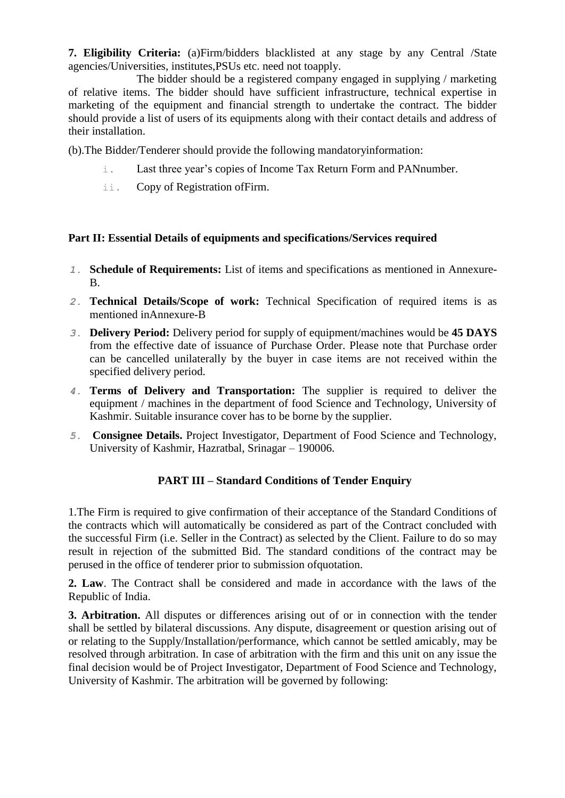**7. Eligibility Criteria:** (a)Firm/bidders blacklisted at any stage by any Central /State agencies/Universities, institutes,PSUs etc. need not toapply.

The bidder should be a registered company engaged in supplying / marketing of relative items. The bidder should have sufficient infrastructure, technical expertise in marketing of the equipment and financial strength to undertake the contract. The bidder should provide a list of users of its equipments along with their contact details and address of their installation.

(b).The Bidder/Tenderer should provide the following mandatoryinformation:

- i. Last three year's copies of Income Tax Return Form and PANnumber.
- ii. Copy of Registration ofFirm.

#### **Part II: Essential Details of equipments and specifications/Services required**

- *1.* **Schedule of Requirements:** List of items and specifications as mentioned in Annexure-B.
- *2.* **Technical Details/Scope of work:** Technical Specification of required items is as mentioned inAnnexure-B
- *3.* **Delivery Period:** Delivery period for supply of equipment/machines would be **45 DAYS**  from the effective date of issuance of Purchase Order. Please note that Purchase order can be cancelled unilaterally by the buyer in case items are not received within the specified delivery period.
- *4.* **Terms of Delivery and Transportation:** The supplier is required to deliver the equipment / machines in the department of food Science and Technology, University of Kashmir. Suitable insurance cover has to be borne by the supplier.
- *5.* **Consignee Details.** Project Investigator, Department of Food Science and Technology, University of Kashmir, Hazratbal, Srinagar – 190006.

### **PART III – Standard Conditions of Tender Enquiry**

1.The Firm is required to give confirmation of their acceptance of the Standard Conditions of the contracts which will automatically be considered as part of the Contract concluded with the successful Firm (i.e. Seller in the Contract) as selected by the Client. Failure to do so may result in rejection of the submitted Bid. The standard conditions of the contract may be perused in the office of tenderer prior to submission ofquotation.

**2. Law**. The Contract shall be considered and made in accordance with the laws of the Republic of India.

**3. Arbitration.** All disputes or differences arising out of or in connection with the tender shall be settled by bilateral discussions. Any dispute, disagreement or question arising out of or relating to the Supply/Installation/performance, which cannot be settled amicably, may be resolved through arbitration. In case of arbitration with the firm and this unit on any issue the final decision would be of Project Investigator, Department of Food Science and Technology, University of Kashmir. The arbitration will be governed by following: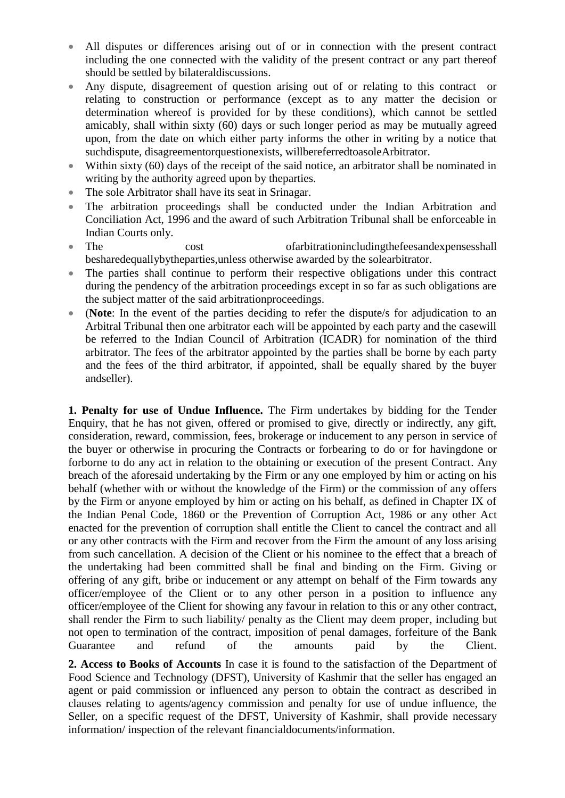- All disputes or differences arising out of or in connection with the present contract including the one connected with the validity of the present contract or any part thereof should be settled by bilateraldiscussions.
- Any dispute, disagreement of question arising out of or relating to this contract or relating to construction or performance (except as to any matter the decision or determination whereof is provided for by these conditions), which cannot be settled amicably, shall within sixty (60) days or such longer period as may be mutually agreed upon, from the date on which either party informs the other in writing by a notice that suchdispute, disagreementorquestionexists, willbereferredtoasoleArbitrator.
- Within sixty (60) days of the receipt of the said notice, an arbitrator shall be nominated in writing by the authority agreed upon by theparties.
- The sole Arbitrator shall have its seat in Srinagar.
- The arbitration proceedings shall be conducted under the Indian Arbitration and Conciliation Act, 1996 and the award of such Arbitration Tribunal shall be enforceable in Indian Courts only.
- The cost cost ofarbitrationincludingthefeesandexpensesshall besharedequallybytheparties,unless otherwise awarded by the solearbitrator.
- The parties shall continue to perform their respective obligations under this contract during the pendency of the arbitration proceedings except in so far as such obligations are the subject matter of the said arbitrationproceedings.
- (**Note**: In the event of the parties deciding to refer the dispute/s for adjudication to an Arbitral Tribunal then one arbitrator each will be appointed by each party and the casewill be referred to the Indian Council of Arbitration (ICADR) for nomination of the third arbitrator. The fees of the arbitrator appointed by the parties shall be borne by each party and the fees of the third arbitrator, if appointed, shall be equally shared by the buyer andseller).

**1. Penalty for use of Undue Influence.** The Firm undertakes by bidding for the Tender Enquiry, that he has not given, offered or promised to give, directly or indirectly, any gift, consideration, reward, commission, fees, brokerage or inducement to any person in service of the buyer or otherwise in procuring the Contracts or forbearing to do or for havingdone or forborne to do any act in relation to the obtaining or execution of the present Contract. Any breach of the aforesaid undertaking by the Firm or any one employed by him or acting on his behalf (whether with or without the knowledge of the Firm) or the commission of any offers by the Firm or anyone employed by him or acting on his behalf, as defined in Chapter IX of the Indian Penal Code, 1860 or the Prevention of Corruption Act, 1986 or any other Act enacted for the prevention of corruption shall entitle the Client to cancel the contract and all or any other contracts with the Firm and recover from the Firm the amount of any loss arising from such cancellation. A decision of the Client or his nominee to the effect that a breach of the undertaking had been committed shall be final and binding on the Firm. Giving or offering of any gift, bribe or inducement or any attempt on behalf of the Firm towards any officer/employee of the Client or to any other person in a position to influence any officer/employee of the Client for showing any favour in relation to this or any other contract, shall render the Firm to such liability/ penalty as the Client may deem proper, including but not open to termination of the contract, imposition of penal damages, forfeiture of the Bank Guarantee and refund of the amounts paid by the Client.

**2. Access to Books of Accounts** In case it is found to the satisfaction of the Department of Food Science and Technology (DFST), University of Kashmir that the seller has engaged an agent or paid commission or influenced any person to obtain the contract as described in clauses relating to agents/agency commission and penalty for use of undue influence, the Seller, on a specific request of the DFST, University of Kashmir, shall provide necessary information/ inspection of the relevant financialdocuments/information.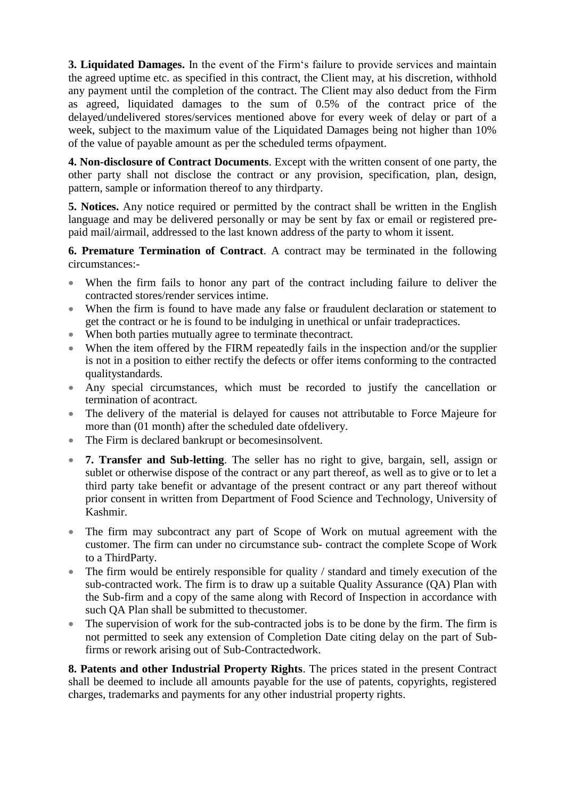**3. Liquidated Damages.** In the event of the Firm's failure to provide services and maintain the agreed uptime etc. as specified in this contract, the Client may, at his discretion, withhold any payment until the completion of the contract. The Client may also deduct from the Firm as agreed, liquidated damages to the sum of 0.5% of the contract price of the delayed/undelivered stores/services mentioned above for every week of delay or part of a week, subject to the maximum value of the Liquidated Damages being not higher than 10% of the value of payable amount as per the scheduled terms ofpayment.

**4. Non-disclosure of Contract Documents**. Except with the written consent of one party, the other party shall not disclose the contract or any provision, specification, plan, design, pattern, sample or information thereof to any thirdparty.

**5. Notices.** Any notice required or permitted by the contract shall be written in the English language and may be delivered personally or may be sent by fax or email or registered prepaid mail/airmail, addressed to the last known address of the party to whom it issent.

**6. Premature Termination of Contract**. A contract may be terminated in the following circumstances:-

- When the firm fails to honor any part of the contract including failure to deliver the contracted stores/render services intime.
- When the firm is found to have made any false or fraudulent declaration or statement to get the contract or he is found to be indulging in unethical or unfair tradepractices.
- When both parties mutually agree to terminate thecontract.
- When the item offered by the FIRM repeatedly fails in the inspection and/or the supplier is not in a position to either rectify the defects or offer items conforming to the contracted qualitystandards.
- Any special circumstances, which must be recorded to justify the cancellation or termination of acontract.
- The delivery of the material is delayed for causes not attributable to Force Majeure for more than (01 month) after the scheduled date ofdelivery.
- The Firm is declared bankrupt or becomesinsolvent.
- **7. Transfer and Sub-letting**. The seller has no right to give, bargain, sell, assign or sublet or otherwise dispose of the contract or any part thereof, as well as to give or to let a third party take benefit or advantage of the present contract or any part thereof without prior consent in written from Department of Food Science and Technology, University of Kashmir.
- The firm may subcontract any part of Scope of Work on mutual agreement with the customer. The firm can under no circumstance sub- contract the complete Scope of Work to a ThirdParty.
- The firm would be entirely responsible for quality / standard and timely execution of the sub-contracted work. The firm is to draw up a suitable Quality Assurance (QA) Plan with the Sub-firm and a copy of the same along with Record of Inspection in accordance with such QA Plan shall be submitted to thecustomer.
- The supervision of work for the sub-contracted jobs is to be done by the firm. The firm is not permitted to seek any extension of Completion Date citing delay on the part of Subfirms or rework arising out of Sub-Contractedwork.

**8. Patents and other Industrial Property Rights**. The prices stated in the present Contract shall be deemed to include all amounts payable for the use of patents, copyrights, registered charges, trademarks and payments for any other industrial property rights.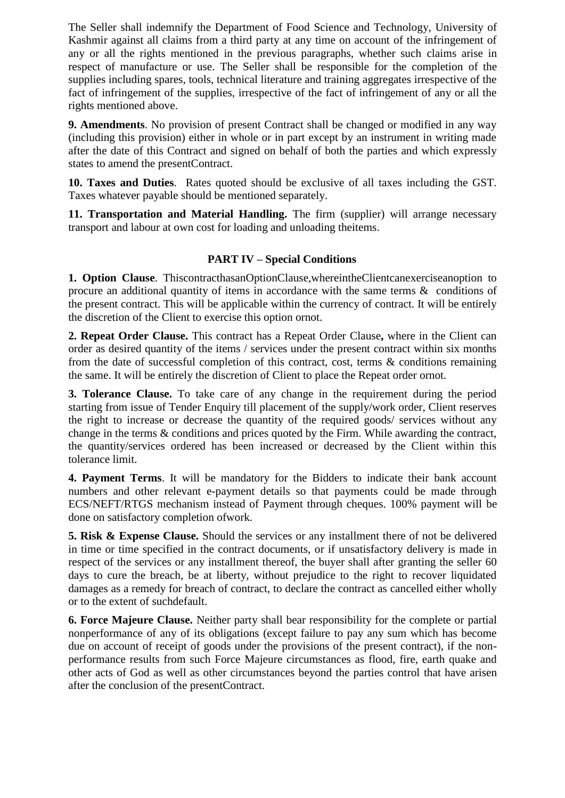The Seller shall indemnify the Department of Food Science and Technology, University of Kashmir against all claims from a third party at any time on account of the infringement of any or all the rights mentioned in the previous paragraphs, whether such claims arise in respect of manufacture or use. The Seller shall be responsible for the completion of the supplies including spares, tools, technical literature and training aggregates irrespective of the fact of infringement of the supplies, irrespective of the fact of infringement of any or all the rights mentioned above.

**9. Amendments**. No provision of present Contract shall be changed or modified in any way (including this provision) either in whole or in part except by an instrument in writing made after the date of this Contract and signed on behalf of both the parties and which expressly states to amend the presentContract.

**10. Taxes and Duties**. Rates quoted should be exclusive of all taxes including the GST. Taxes whatever payable should be mentioned separately.

**11. Transportation and Material Handling.** The firm (supplier) will arrange necessary transport and labour at own cost for loading and unloading theitems.

### **PART IV – Special Conditions**

**1. Option Clause**. ThiscontracthasanOptionClause,whereintheClientcanexerciseanoption to procure an additional quantity of items in accordance with the same terms & conditions of the present contract. This will be applicable within the currency of contract. It will be entirely the discretion of the Client to exercise this option ornot.

**2. Repeat Order Clause.** This contract has a Repeat Order Clause**,** where in the Client can order as desired quantity of the items / services under the present contract within six months from the date of successful completion of this contract, cost, terms & conditions remaining the same. It will be entirely the discretion of Client to place the Repeat order ornot.

**3. Tolerance Clause.** To take care of any change in the requirement during the period starting from issue of Tender Enquiry till placement of the supply/work order, Client reserves the right to increase or decrease the quantity of the required goods/ services without any change in the terms & conditions and prices quoted by the Firm. While awarding the contract, the quantity/services ordered has been increased or decreased by the Client within this tolerance limit.

**4. Payment Terms**. It will be mandatory for the Bidders to indicate their bank account numbers and other relevant e-payment details so that payments could be made through ECS/NEFT/RTGS mechanism instead of Payment through cheques. 100% payment will be done on satisfactory completion ofwork.

**5. Risk & Expense Clause.** Should the services or any installment there of not be delivered in time or time specified in the contract documents, or if unsatisfactory delivery is made in respect of the services or any installment thereof, the buyer shall after granting the seller 60 days to cure the breach, be at liberty, without prejudice to the right to recover liquidated damages as a remedy for breach of contract, to declare the contract as cancelled either wholly or to the extent of suchdefault.

**6. Force Majeure Clause.** Neither party shall bear responsibility for the complete or partial nonperformance of any of its obligations (except failure to pay any sum which has become due on account of receipt of goods under the provisions of the present contract), if the nonperformance results from such Force Majeure circumstances as flood, fire, earth quake and other acts of God as well as other circumstances beyond the parties control that have arisen after the conclusion of the presentContract.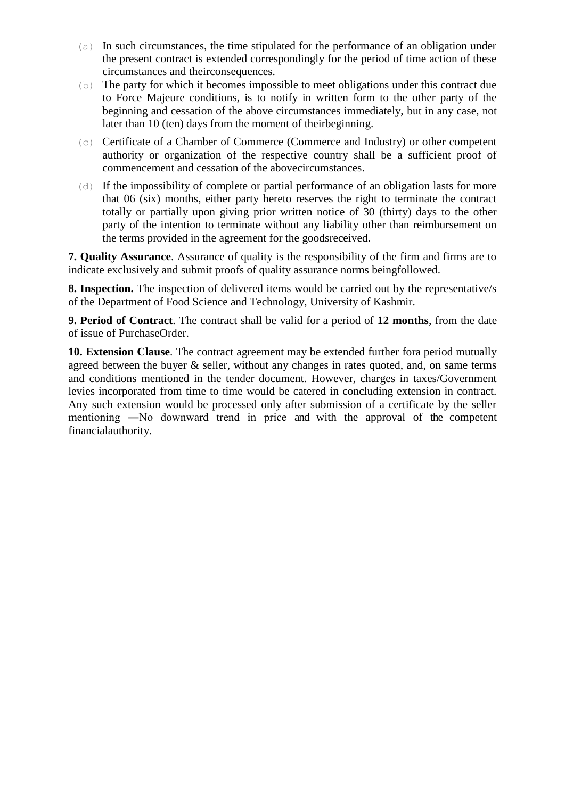- (a) In such circumstances, the time stipulated for the performance of an obligation under the present contract is extended correspondingly for the period of time action of these circumstances and theirconsequences.
- (b) The party for which it becomes impossible to meet obligations under this contract due to Force Majeure conditions, is to notify in written form to the other party of the beginning and cessation of the above circumstances immediately, but in any case, not later than 10 (ten) days from the moment of theirbeginning.
- (c) Certificate of a Chamber of Commerce (Commerce and Industry) or other competent authority or organization of the respective country shall be a sufficient proof of commencement and cessation of the abovecircumstances.
- $(d)$  If the impossibility of complete or partial performance of an obligation lasts for more that 06 (six) months, either party hereto reserves the right to terminate the contract totally or partially upon giving prior written notice of 30 (thirty) days to the other party of the intention to terminate without any liability other than reimbursement on the terms provided in the agreement for the goodsreceived.

**7. Quality Assurance**. Assurance of quality is the responsibility of the firm and firms are to indicate exclusively and submit proofs of quality assurance norms beingfollowed.

**8. Inspection.** The inspection of delivered items would be carried out by the representative/s of the Department of Food Science and Technology, University of Kashmir.

**9. Period of Contract**. The contract shall be valid for a period of **12 months**, from the date of issue of PurchaseOrder.

**10. Extension Clause**. The contract agreement may be extended further fora period mutually agreed between the buyer & seller, without any changes in rates quoted, and, on same terms and conditions mentioned in the tender document. However, charges in taxes/Government levies incorporated from time to time would be catered in concluding extension in contract. Any such extension would be processed only after submission of a certificate by the seller mentioning ―No downward trend in price and with the approval of the competent financialauthority.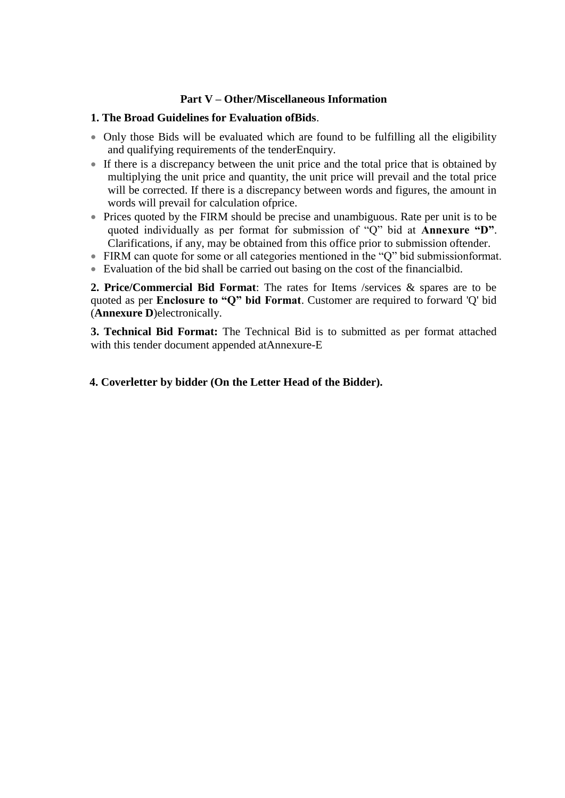### **Part V – Other/Miscellaneous Information**

#### **1. The Broad Guidelines for Evaluation ofBids**.

- Only those Bids will be evaluated which are found to be fulfilling all the eligibility and qualifying requirements of the tenderEnquiry.
- If there is a discrepancy between the unit price and the total price that is obtained by multiplying the unit price and quantity, the unit price will prevail and the total price will be corrected. If there is a discrepancy between words and figures, the amount in words will prevail for calculation ofprice.
- Prices quoted by the FIRM should be precise and unambiguous. Rate per unit is to be quoted individually as per format for submission of "Q" bid at **Annexure "D"**. Clarifications, if any, may be obtained from this office prior to submission oftender.
- FIRM can quote for some or all categories mentioned in the "Q" bid submissionformat.
- Evaluation of the bid shall be carried out basing on the cost of the financialbid.

**2. Price/Commercial Bid Format**: The rates for Items /services & spares are to be quoted as per **Enclosure to "Q" bid Format**. Customer are required to forward 'Q' bid (**Annexure D**)electronically.

**3. Technical Bid Format:** The Technical Bid is to submitted as per format attached with this tender document appended atAnnexure-E

### **4. Coverletter by bidder (On the Letter Head of the Bidder).**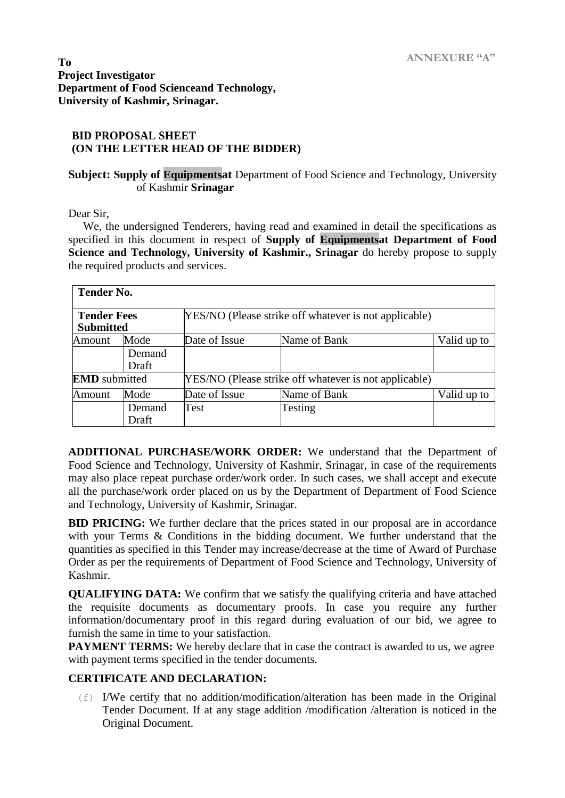#### **BID PROPOSAL SHEET (ON THE LETTER HEAD OF THE BIDDER)**

#### **Subject: Supply of Equipmentsat** Department of Food Science and Technology, University of Kashmir **Srinagar**

Dear Sir,

We, the undersigned Tenderers, having read and examined in detail the specifications as specified in this document in respect of **Supply of Equipmentsat Department of Food Science and Technology, University of Kashmir., Srinagar** do hereby propose to supply the required products and services.

| <b>Tender No.</b>                      |                 |                                                       |              |             |  |  |
|----------------------------------------|-----------------|-------------------------------------------------------|--------------|-------------|--|--|
| <b>Tender Fees</b><br><b>Submitted</b> |                 | YES/NO (Please strike off whatever is not applicable) |              |             |  |  |
| Amount                                 | Mode            | Date of Issue                                         | Name of Bank | Valid up to |  |  |
|                                        | Demand<br>Draft |                                                       |              |             |  |  |
| <b>EMD</b> submitted                   |                 | YES/NO (Please strike off whatever is not applicable) |              |             |  |  |
| Amount                                 | Mode            | Date of Issue                                         | Name of Bank | Valid up to |  |  |
|                                        | Demand<br>Draft | Test                                                  | Testing      |             |  |  |

**ADDITIONAL PURCHASE/WORK ORDER:** We understand that the Department of Food Science and Technology, University of Kashmir, Srinagar, in case of the requirements may also place repeat purchase order/work order. In such cases, we shall accept and execute all the purchase/work order placed on us by the Department of Department of Food Science and Technology, University of Kashmir, Srinagar.

**BID PRICING:** We further declare that the prices stated in our proposal are in accordance with your Terms & Conditions in the bidding document. We further understand that the quantities as specified in this Tender may increase/decrease at the time of Award of Purchase Order as per the requirements of Department of Food Science and Technology, University of Kashmir.

**QUALIFYING DATA:** We confirm that we satisfy the qualifying criteria and have attached the requisite documents as documentary proofs. In case you require any further information/documentary proof in this regard during evaluation of our bid, we agree to furnish the same in time to your satisfaction.

**PAYMENT TERMS:** We hereby declare that in case the contract is awarded to us, we agree with payment terms specified in the tender documents.

#### **CERTIFICATE AND DECLARATION:**

 $(f)$  I/We certify that no addition/modification/alteration has been made in the Original Tender Document. If at any stage addition /modification /alteration is noticed in the Original Document.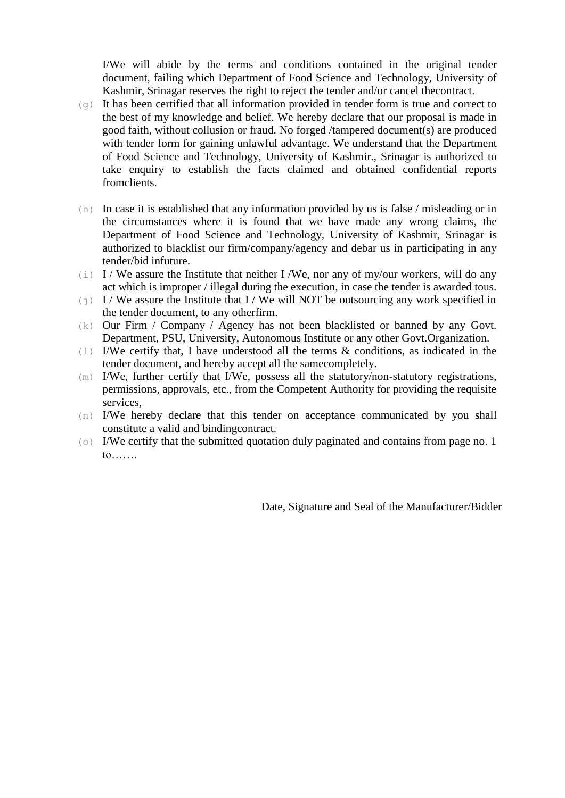I/We will abide by the terms and conditions contained in the original tender document, failing which Department of Food Science and Technology, University of Kashmir, Srinagar reserves the right to reject the tender and/or cancel thecontract.

- (g) It has been certified that all information provided in tender form is true and correct to the best of my knowledge and belief. We hereby declare that our proposal is made in good faith, without collusion or fraud. No forged /tampered document(s) are produced with tender form for gaining unlawful advantage. We understand that the Department of Food Science and Technology, University of Kashmir., Srinagar is authorized to take enquiry to establish the facts claimed and obtained confidential reports fromclients.
- (h) In case it is established that any information provided by us is false / misleading or in the circumstances where it is found that we have made any wrong claims, the Department of Food Science and Technology, University of Kashmir, Srinagar is authorized to blacklist our firm/company/agency and debar us in participating in any tender/bid infuture.
- (i) I / We assure the Institute that neither I /We, nor any of my/our workers, will do any act which is improper / illegal during the execution, in case the tender is awarded tous.
- (j) I / We assure the Institute that I / We will NOT be outsourcing any work specified in the tender document, to any otherfirm.
- (k) Our Firm / Company / Agency has not been blacklisted or banned by any Govt. Department, PSU, University, Autonomous Institute or any other Govt.Organization.
- (l) I/We certify that, I have understood all the terms & conditions, as indicated in the tender document, and hereby accept all the samecompletely.
- (m) I/We, further certify that I/We, possess all the statutory/non-statutory registrations, permissions, approvals, etc., from the Competent Authority for providing the requisite services,
- (n) I/We hereby declare that this tender on acceptance communicated by you shall constitute a valid and bindingcontract.
- (o) I/We certify that the submitted quotation duly paginated and contains from page no. 1 to…….

Date, Signature and Seal of the Manufacturer/Bidder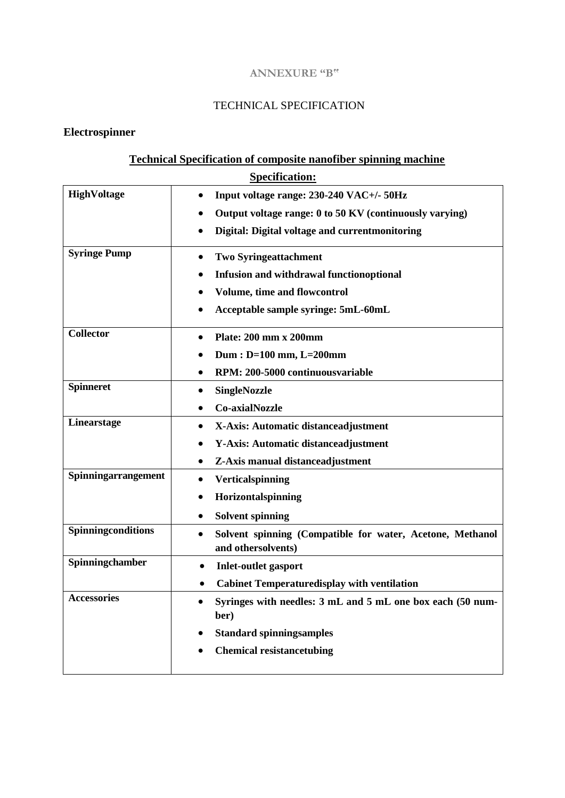#### **ANNEXURE "B"**

## TECHNICAL SPECIFICATION

# **Electrospinner**

# **Technical Specification of composite nanofiber spinning machine**

| <b>Specification:</b> |                                                                                 |  |
|-----------------------|---------------------------------------------------------------------------------|--|
| HighVoltage           | Input voltage range: 230-240 VAC+/- 50Hz<br>$\bullet$                           |  |
|                       | Output voltage range: 0 to 50 KV (continuously varying)                         |  |
|                       | Digital: Digital voltage and currentmonitoring<br>$\bullet$                     |  |
| <b>Syringe Pump</b>   | <b>Two Syringeattachment</b>                                                    |  |
|                       | <b>Infusion and withdrawal functionoptional</b>                                 |  |
|                       | <b>Volume, time and flowcontrol</b>                                             |  |
|                       | Acceptable sample syringe: 5mL-60mL                                             |  |
| <b>Collector</b>      | Plate: 200 mm x 200mm                                                           |  |
|                       | Dum : $D=100$ mm, $L=200$ mm                                                    |  |
|                       | RPM: 200-5000 continuousvariable                                                |  |
| <b>Spinneret</b>      | <b>SingleNozzle</b>                                                             |  |
|                       | <b>Co-axialNozzle</b>                                                           |  |
| Linearstage           | X-Axis: Automatic distanceadjustment                                            |  |
|                       | <b>Y-Axis: Automatic distanceadjustment</b>                                     |  |
|                       | Z-Axis manual distanceadjustment                                                |  |
| Spinningarrangement   | Verticalspinning<br>$\bullet$                                                   |  |
|                       | Horizontalspinning<br>$\bullet$                                                 |  |
|                       | <b>Solvent spinning</b>                                                         |  |
| Spinningconditions    | Solvent spinning (Compatible for water, Acetone, Methanol<br>and othersolvents) |  |
| Spinningchamber       | <b>Inlet-outlet gasport</b>                                                     |  |
|                       | <b>Cabinet Temperaturedisplay with ventilation</b>                              |  |
| <b>Accessories</b>    | Syringes with needles: 3 mL and 5 mL one box each (50 num-<br>ber)              |  |
|                       | <b>Standard spinningsamples</b>                                                 |  |
|                       | <b>Chemical resistancetubing</b>                                                |  |
|                       |                                                                                 |  |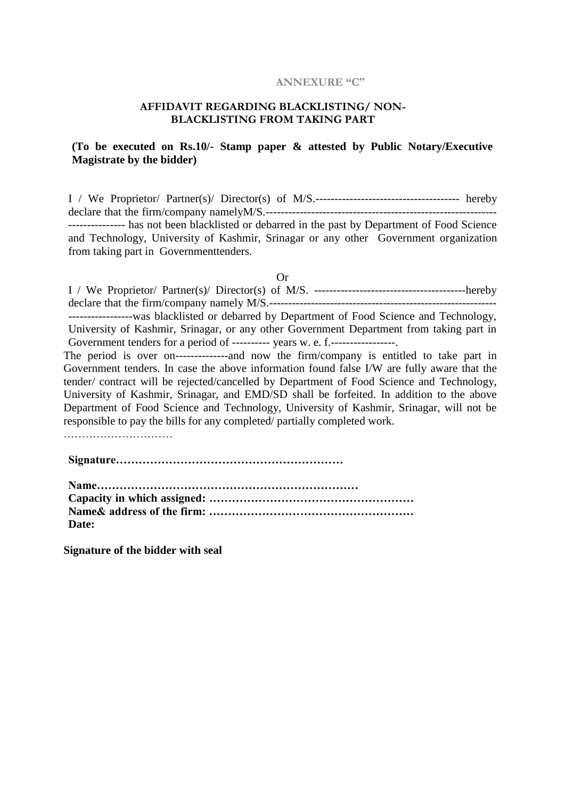#### **ANNEXURE "C"**

#### **AFFIDAVIT REGARDING BLACKLISTING/ NON-BLACKLISTING FROM TAKING PART**

#### **(To be executed on Rs.10/- Stamp paper & attested by Public Notary/Executive Magistrate by the bidder)**

I / We Proprietor/ Partner(s)/ Director(s) of M/S.-------------------------------------- hereby declare that the firm/company namelyM/S.------------------------------------------------------------- --------------- has not been blacklisted or debarred in the past by Department of Food Science and Technology, University of Kashmir, Srinagar or any other Government organization from taking part in Governmenttenders.

Or

I / We Proprietor/ Partner(s)/ Director(s) of M/S. ----------------------------------------hereby declare that the firm/company namely M/S.------------------------------------------------------------ -----------------was blacklisted or debarred by Department of Food Science and Technology, University of Kashmir, Srinagar, or any other Government Department from taking part in

Government tenders for a period of --------- years w. e. f.------------------.

The period is over on--------------and now the firm/company is entitled to take part in Government tenders. In case the above information found false I/W are fully aware that the tender/ contract will be rejected/cancelled by Department of Food Science and Technology, University of Kashmir, Srinagar, and EMD/SD shall be forfeited. In addition to the above Department of Food Science and Technology, University of Kashmir, Srinagar, will not be responsible to pay the bills for any completed/ partially completed work.

**Signature……………………………………………………** 

**Name…………………………………………………………… Capacity in which assigned: ……………………………………………… Name& address of the firm: ……………………………………………… Date:**

**Signature of the bidder with seal**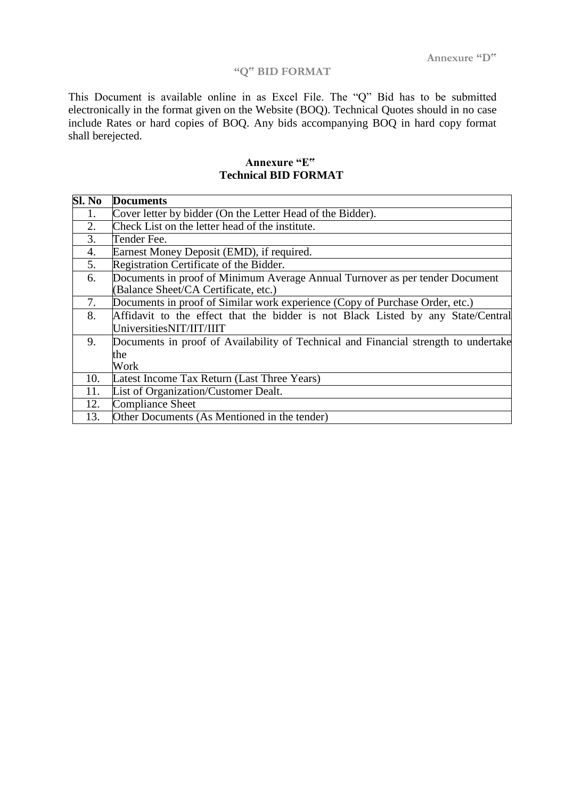## **"Q" BID FORMAT**

This Document is available online in as Excel File. The "Q" Bid has to be submitted electronically in the format given on the Website (BOQ). Technical Quotes should in no case include Rates or hard copies of BOQ. Any bids accompanying BOQ in hard copy format shall berejected.

| Sl. No | <b>Documents</b>                                                                    |
|--------|-------------------------------------------------------------------------------------|
| 1.     | Cover letter by bidder (On the Letter Head of the Bidder).                          |
| 2.     | Check List on the letter head of the institute.                                     |
| 3.     | Tender Fee.                                                                         |
| 4.     | Earnest Money Deposit (EMD), if required.                                           |
| 5.     | Registration Certificate of the Bidder.                                             |
| 6.     | Documents in proof of Minimum Average Annual Turnover as per tender Document        |
|        | (Balance Sheet/CA Certificate, etc.)                                                |
| 7.     | Documents in proof of Similar work experience (Copy of Purchase Order, etc.)        |
| 8.     | Affidavit to the effect that the bidder is not Black Listed by any State/Central    |
|        | UniversitiesNIT/IIT/IIIT                                                            |
| 9.     | Documents in proof of Availability of Technical and Financial strength to undertake |
|        | the                                                                                 |
|        | Work                                                                                |
| 10.    | Latest Income Tax Return (Last Three Years)                                         |
| 11.    | List of Organization/Customer Dealt.                                                |
| 12.    | <b>Compliance Sheet</b>                                                             |
| 13.    | Other Documents (As Mentioned in the tender)                                        |

### **Annexure "E" Technical BID FORMAT**